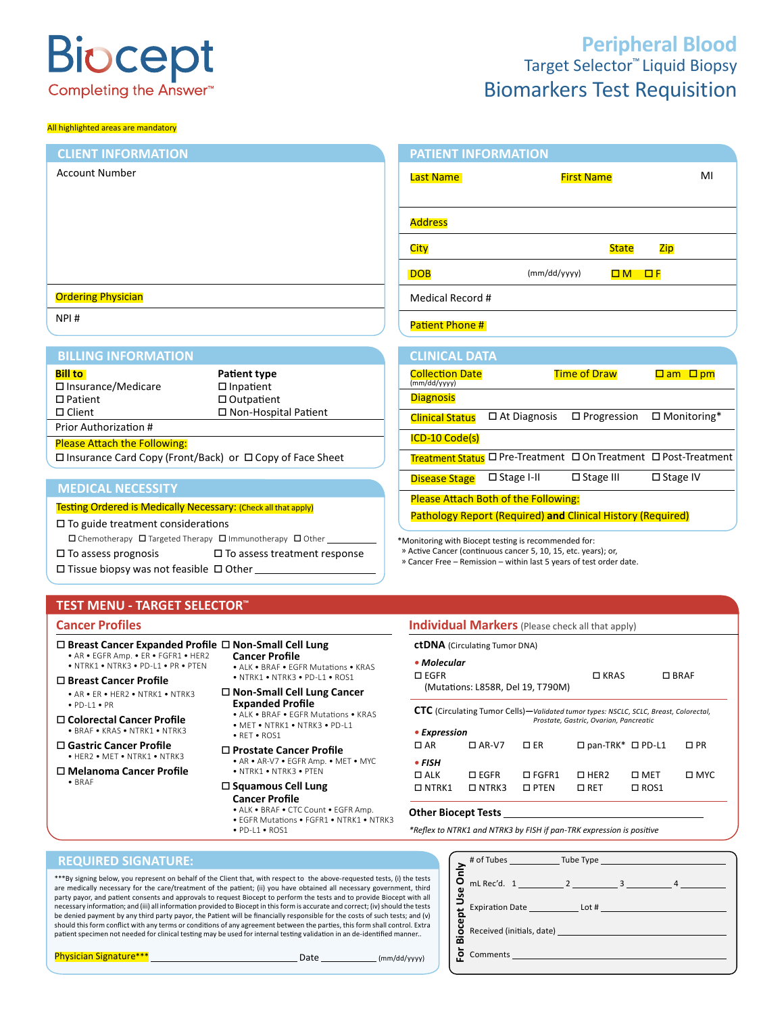# **Biocept** Completing the Answer<sup>\*\*</sup>

#### All highlighted areas are mandatory

# Target Selector™ Liquid Biopsy Biomarkers Test Requisition **Peripheral Blood**

#### Testing Ordered is Medically Necessary: (Check all that apply)  $\Box$  To guide treatment considerations  $\square$  Chemotherapy  $\square$  Targeted Therapy  $\square$  Immunotherapy  $\square$  Other  $\square$  To assess prognosis  $\square$  To assess treatment response  $\square$  Tissue biopsy was not feasible  $\square$  Other **MEDICAL NECESSITY** Last Name and Allie Report of First Name and MI Address City **State** Zip  $DOB$  (mm/dd/yyyy)  $OM \Box M$  Medical Record # Patient Phone # **PATIENT INFORMATION** Account Number **Ordering Physician** NPI # **CLIENT INFORMATION** \*Monitoring with Biocept testing is recommended for: » Active Cancer (continuous cancer 5, 10, 15, etc. years); or, » Cancer Free – Remission – within last 5 years of test order date. **CLINICAL DATA** Collection Date Time of Draw am pm (mm/dd/yyyy) **Diagnosis**  $C$ linical Status  $\Box$  At Diagnosis  $\Box$  Progression  $\Box$  Monitoring\* ICD-10 Code(s) Treatment Status **D** Pre-Treatment **D** On Treatment **D** Post-Treatment Disease Stage □ Stage I-II □ Stage III □ Stage IV Please Attach Both of the Following: Pathology Report (Required) **and** Clinical History (Required) **Bill to Patient type**  $\square$  Insurance/Medicare  $\square$  Inpatient  $\square$  Patient  $\square$  Outpatient Patient Outpatient □ Client □ Non-Hospital Patient Prior Authorization # Please Attach the Following: Insurance Card Copy (Front/Back) or Copy of Face Sheet **BILLING INFORMATION**

# **TEST MENU - TARGET SELECTOR™**

# **Cancer Profiles Cancer Profiles Individual Markers** (Please check all that apply)

# **□ Breast Cancer Expanded Profile □ Non-Small Cell Lung**

#### • AR • EGFR Amp. • ER • FGFR1 • HER2 • NTRK1 • NTRK3 • PD-L1 • PR • PTEN

**Breast Cancer Profile**

- AR ER HER2 NTRK1 NTRK3 • PD-L1 • PR
- **Colorectal Cancer Profile** • BRAF • KRAS • NTRK1 • NTRK3
- **Gastric Cancer Profile** • HER2 • MET • NTRK1 • NTRK3
- **Melanoma Cancer Profile** • BRAF
- **Cancer Profile** • ALK • BRAF • EGFR Mutations • KRAS • NTRK1 • NTRK3 • PD-L1 • ROS1
- **Non-Small Cell Lung Cancer Expanded Profile**
- ALK BRAF EGFR Mutations KRAS • MET • NTRK1 • NTRK3 • PD-L1
- RET ROS1
- **Prostate Cancer Profile** • AR • AR-V7 • EGFR Amp. • MET • MYC • NTRK1 • NTRK3 • PTEN

#### **Squamous Cell Lung Cancer Profile**

- ALK BRAF CTC Count EGFR Amp.
- EGFR Mutations FGFR1 NTRK1 NTRK3
- PD-L1 ROS1

#### EGFR (Mutations: L858R, Del 19, T790M)  $\Box$  KRAS  $\Box$  BRAF **CTC** (Circulating Tumor Cells)**—***Validated tumor types: NSCLC, SCLC, Breast, Colorectal, Prostate, Gastric, Ovarian, Pancreatic • Expression*

| $\Box$ AR  | $\Box$ AR-V7                          | D ER                                 |            | $\Box$ pan-TRK* $\Box$ PD-L1 $\Box$ PR |               |
|------------|---------------------------------------|--------------------------------------|------------|----------------------------------------|---------------|
| • FISH     |                                       |                                      |            |                                        |               |
| $\Box$ ALK |                                       | $\Box$ EGFR $\Box$ FGFR1 $\Box$ HER2 |            | $\square$ MET                          | $\square$ MYC |
|            | $\Box$ NTRK1 $\Box$ NTRK3 $\Box$ PTEN |                                      | $\Box$ RET | $\Box$ ROS1                            |               |

## **Other Biocept Tests**

**ctDNA** (Circulating Tumor DNA)

*• Molecular*

*\*Reflex to NTRK1 and NTRK3 by FISH if pan-TRK expression is positive*

## **REQUIRED SIGNATURE:**

\*\*\*By signing below, you represent on behalf of the Client that, with respect to the above-requested tests, (i) the tests are medically necessary for the care/treatment of the patient; (ii) you have obtained all necessary government, third party payor, and patient consents and approvals to request Biocept to perform the tests and to provide Biocept with all necessary information; and (iii) all information provided to Biocept in this form is accurate and correct; (iv) should the tests be denied payment by any third party payor, the Patient will be financially responsible for the costs of such tests; and (v) should this form conflict with any terms or conditions of any agreement between the parties, this form shall control. Extra patient specimen not needed for clinical testing may be used for internal testing validation in an de-identified manner..

| <b>Jse</b> |                                                                                                                                                                                                                               |
|------------|-------------------------------------------------------------------------------------------------------------------------------------------------------------------------------------------------------------------------------|
|            |                                                                                                                                                                                                                               |
| Biocept    | Received (initials, date) and the control of the control of the control of the control of the control of the control of the control of the control of the control of the control of the control of the control of the control |
|            |                                                                                                                                                                                                                               |

Physician Signature\*\*\* Date (mm/dd/yyyy)